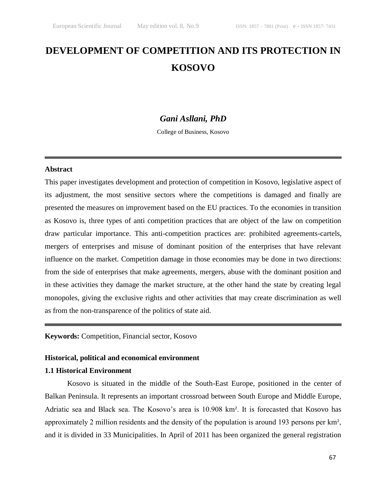# **DEVELOPMENT OF COMPETITION AND ITS PROTECTION IN KOSOVO**

# *Gani Asllani, PhD*

College of Business, Kosovo

#### **Abstract**

This paper investigates development and protection of competition in Kosovo, legislative aspect of its adjustment, the most sensitive sectors where the competitions is damaged and finally are presented the measures on improvement based on the EU practices. To the economies in transition as Kosovo is, three types of anti competition practices that are object of the law on competition draw particular importance. This anti-competition practices are: prohibited agreements-cartels, mergers of enterprises and misuse of dominant position of the enterprises that have relevant influence on the market. Competition damage in those economies may be done in two directions: from the side of enterprises that make agreements, mergers, abuse with the dominant position and in these activities they damage the market structure, at the other hand the state by creating legal monopoles, giving the exclusive rights and other activities that may create discrimination as well as from the non-transparence of the politics of state aid.

# **Keywords:** Competition, Financial sector, Kosovo

## **Historical, political and economical environment**

## **1.1 Historical Environment**

Kosovo is situated in the middle of the South-East Europe, positioned in the center of Balkan Peninsula. It represents an important crossroad between South Europe and Middle Europe, Adriatic sea and Black sea. The Kosovo's area is 10.908 km². It is forecasted that Kosovo has approximately 2 million residents and the density of the population is around 193 persons per km², and it is divided in 33 Municipalities. In April of 2011 has been organized the general registration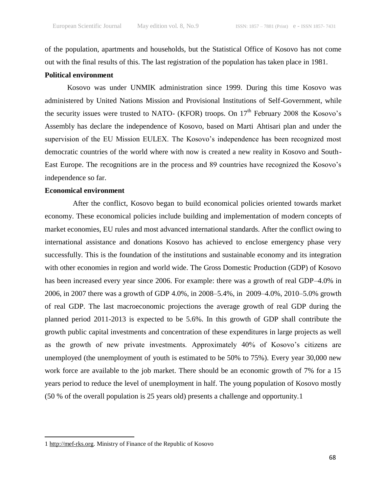of the population, apartments and households, but the Statistical Office of Kosovo has not come out with the final results of this. The last registration of the population has taken place in 1981.

## **Political environment**

Kosovo was under UNMIK administration since 1999. During this time Kosovo was administered by United Nations Mission and Provisional Institutions of Self-Government, while the security issues were trusted to NATO- (KFOR) troops. On  $17<sup>th</sup>$  February 2008 the Kosovo's Assembly has declare the independence of Kosovo, based on Marti Ahtisari plan and under the supervision of the EU Mission EULEX. The Kosovo's independence has been recognized most democratic countries of the world where with now is created a new reality in Kosovo and South-East Europe. The recognitions are in the process and 89 countries have recognized the Kosovo's independence so far.

#### **Economical environment**

After the conflict, Kosovo began to build economical policies oriented towards market economy. These economical policies include building and implementation of modern concepts of market economies, EU rules and most advanced international standards. After the conflict owing to international assistance and donations Kosovo has achieved to enclose emergency phase very successfully. This is the foundation of the institutions and sustainable economy and its integration with other economies in region and world wide. The Gross Domestic Production (GDP) of Kosovo has been increased every year since 2006. For example: there was a growth of real GDP–4.0% in 2006, in 2007 there was a growth of GDP 4.0%, in 2008–5.4%, in 2009–4.0%, 2010–5.0% growth of real GDP. The last macroeconomic projections the average growth of real GDP during the planned period 2011-2013 is expected to be 5.6%. In this growth of GDP shall contribute the growth public capital investments and concentration of these expenditures in large projects as well as the growth of new private investments. Approximately 40% of Kosovo's citizens are unemployed (the unemployment of youth is estimated to be 50% to 75%). Every year 30,000 new work force are available to the job market. There should be an economic growth of 7% for a 15 years period to reduce the level of unemployment in half. The young population of Kosovo mostly (50 % of the overall population is 25 years old) presents a challenge and opportunity.1

<sup>1</sup> [http://mef-rks.org.](http://mef-rks.org/) Ministry of Finance of the Republic of Kosovo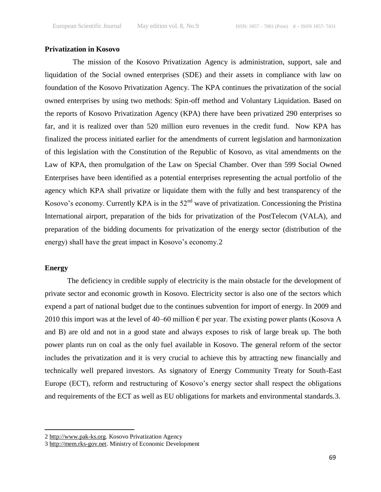# **Privatization in Kosovo**

The mission of the Kosovo Privatization Agency is administration, support, sale and liquidation of the Social owned enterprises (SDE) and their assets in compliance with law on foundation of the Kosovo Privatization Agency. The KPA continues the privatization of the social owned enterprises by using two methods: Spin-off method and Voluntary Liquidation. Based on the reports of Kosovo Privatization Agency (KPA) there have been privatized 290 enterprises so far, and it is realized over than 520 million euro revenues in the credit fund. Now KPA has finalized the process initiated earlier for the amendments of current legislation and harmonization of this legislation with the Constitution of the Republic of Kosovo, as vital amendments on the Law of KPA, then promulgation of the Law on Special Chamber. Over than 599 Social Owned Enterprises have been identified as a potential enterprises representing the actual portfolio of the agency which KPA shall privatize or liquidate them with the fully and best transparency of the Kosovo's economy. Currently KPA is in the 52<sup>nd</sup> wave of privatization. Concessioning the Pristina International airport, preparation of the bids for privatization of the PostTelecom (VALA)*,* and preparation of the bidding documents for privatization of the energy sector (distribution of the energy) shall have the great impact in Kosovo's economy.2

## **Energy**

 $\overline{a}$ 

The deficiency in credible supply of electricity is the main obstacle for the development of private sector and economic growth in Kosovo. Electricity sector is also one of the sectors which expend a part of national budget due to the continues subvention for import of energy. In 2009 and 2010 this import was at the level of 40–60 million  $\epsilon$  per year. The existing power plants (Kosova A and B) are old and not in a good state and always exposes to risk of large break up. The both power plants run on coal as the only fuel available in Kosovo. The general reform of the sector includes the privatization and it is very crucial to achieve this by attracting new financially and technically well prepared investors. As signatory of Energy Community Treaty for South-East Europe (ECT), reform and restructuring of Kosovo's energy sector shall respect the obligations and requirements of the ECT as well as EU obligations for markets and environmental standards.3.

<sup>2</sup> [http://www.pak-ks.org.](http://www.pak-ks.org/) Kosovo Privatization Agency

<sup>3</sup> [http://mem.rks-gov.net.](http://mem.rks-gov.net/) Ministry of Economic Development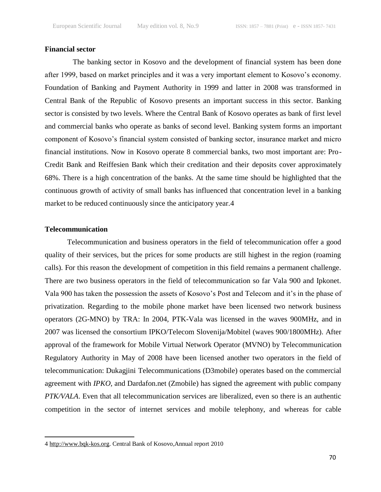# **Financial sector**

The banking sector in Kosovo and the development of financial system has been done after 1999, based on market principles and it was a very important element to Kosovo's economy. Foundation of Banking and Payment Authority in 1999 and latter in 2008 was transformed in Central Bank of the Republic of Kosovo presents an important success in this sector. Banking sector is consisted by two levels. Where the Central Bank of Kosovo operates as bank of first level and commercial banks who operate as banks of second level. Banking system forms an important component of Kosovo's financial system consisted of banking sector, insurance market and micro financial institutions. Now in Kosovo operate 8 commercial banks, two most important are: Pro-Credit Bank and Reiffesien Bank which their creditation and their deposits cover approximately 68%. There is a high concentration of the banks. At the same time should be highlighted that the continuous growth of activity of small banks has influenced that concentration level in a banking market to be reduced continuously since the anticipatory year.4

# **Telecommunication**

 $\overline{a}$ 

Telecommunication and business operators in the field of telecommunication offer a good quality of their services, but the prices for some products are still highest in the region (roaming calls). For this reason the development of competition in this field remains a permanent challenge. There are two business operators in the field of telecommunication so far Vala 900 and Ipkonet. Vala 900 has taken the possession the assets of Kosovo's Post and Telecom and it's in the phase of privatization. Regarding to the mobile phone market have been licensed two network business operators (2G-MNO) by TRA: In 2004, PTK-Vala was licensed in the waves 900MHz, and in 2007 was licensed the consortium IPKO/Telecom Slovenija/Mobitel (waves 900/1800MHz). After approval of the framework for Mobile Virtual Network Operator (MVNO) by Telecommunication Regulatory Authority in May of 2008 have been licensed another two operators in the field of telecommunication: Dukagjini Telecommunications (D3mobile) operates based on the commercial agreement with *IPKO,* and Dardafon.net (Zmobile) has signed the agreement with public company *PTK/VALA*. Even that all telecommunication services are liberalized, even so there is an authentic competition in the sector of internet services and mobile telephony, and whereas for cable

<sup>4</sup> [http://www.bqk-kos.org.](http://www.bqk-kos.org/) Central Bank of Kosovo,Annual report 2010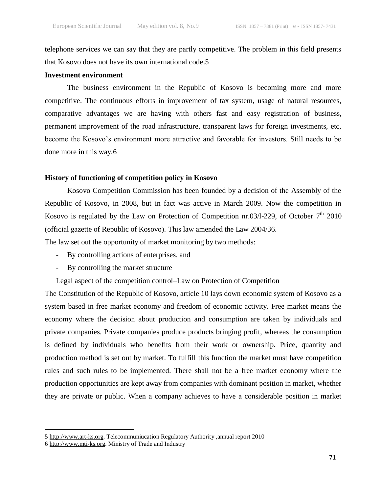telephone services we can say that they are partly competitive. The problem in this field presents that Kosovo does not have its own international code.5

# **Investment environment**

The business environment in the Republic of Kosovo is becoming more and more competitive. The continuous efforts in improvement of tax system, usage of natural resources, comparative advantages we are having with others fast and easy registration of business, permanent improvement of the road infrastructure, transparent laws for foreign investments, etc, become the Kosovo's environment more attractive and favorable for investors. Still needs to be done more in this way.6

## **History of functioning of competition policy in Kosovo**

Kosovo Competition Commission has been founded by a decision of the Assembly of the Republic of Kosovo, in 2008, but in fact was active in March 2009. Now the competition in Kosovo is regulated by the Law on Protection of Competition nr.03/l-229, of October  $7<sup>th</sup>$  2010 (official gazette of Republic of Kosovo). This law amended the Law 2004/36.

The law set out the opportunity of market monitoring by two methods:

- By controlling actions of enterprises, and
- By controlling the market structure

Legal aspect of the competition control–Law on Protection of Competition

The Constitution of the Republic of Kosovo, article 10 lays down economic system of Kosovo as a system based in free market economy and freedom of economic activity. Free market means the economy where the decision about production and consumption are taken by individuals and private companies. Private companies produce products bringing profit, whereas the consumption is defined by individuals who benefits from their work or ownership. Price, quantity and production method is set out by market. To fulfill this function the market must have competition rules and such rules to be implemented. There shall not be a free market economy where the production opportunities are kept away from companies with dominant position in market, whether they are private or public. When a company achieves to have a considerable position in market

<sup>5</sup> [http://www.art-ks.org.](http://www.art-ks.org/) Telecommuniucation Regulatory Authority ,annual report 2010

<sup>6</sup> [http://www.mti-ks.org.](http://www.mti-ks.org/) Ministry of Trade and Industry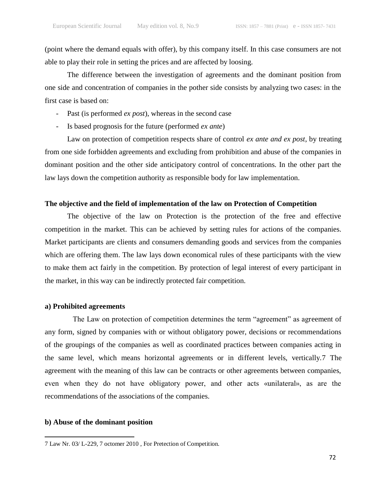(point where the demand equals with offer), by this company itself. In this case consumers are not able to play their role in setting the prices and are affected by loosing.

The difference between the investigation of agreements and the dominant position from one side and concentration of companies in the pother side consists by analyzing two cases: in the first case is based on:

- Past (is performed *ex post*), whereas in the second case
- Is based prognosis for the future (performed *ex ante*)

Law on protection of competition respects share of control *ex ante and ex post*, by treating from one side forbidden agreements and excluding from prohibition and abuse of the companies in dominant position and the other side anticipatory control of concentrations. In the other part the law lays down the competition authority as responsible body for law implementation.

#### **The objective and the field of implementation of the law on Protection of Competition**

The objective of the law on Protection is the protection of the free and effective competition in the market. This can be achieved by setting rules for actions of the companies. Market participants are clients and consumers demanding goods and services from the companies which are offering them. The law lays down economical rules of these participants with the view to make them act fairly in the competition. By protection of legal interest of every participant in the market, in this way can be indirectly protected fair competition.

#### **a) Prohibited agreements**

The Law on protection of competition determines the term "agreement" as agreement of any form, signed by companies with or without obligatory power, decisions or recommendations of the groupings of the companies as well as coordinated practices between companies acting in the same level, which means horizontal agreements or in different levels, vertically.7 The agreement with the meaning of this law can be contracts or other agreements between companies, even when they do not have obligatory power, and other acts «unilateral», as are the recommendations of the associations of the companies.

#### **b) Abuse of the dominant position**

<sup>7</sup> Law Nr. 03/ L-229, 7 octomer 2010 , For Pretection of Competition.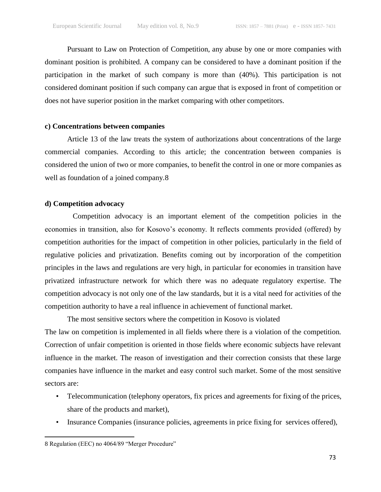Pursuant to Law on Protection of Competition, any abuse by one or more companies with dominant position is prohibited. A company can be considered to have a dominant position if the participation in the market of such company is more than (40%). This participation is not considered dominant position if such company can argue that is exposed in front of competition or does not have superior position in the market comparing with other competitors.

## **c) Concentrations between companies**

Article 13 of the law treats the system of authorizations about concentrations of the large commercial companies. According to this article; the concentration between companies is considered the union of two or more companies, to benefit the control in one or more companies as well as foundation of a joined company.8

# **d) Competition advocacy**

Competition advocacy is an important element of the competition policies in the economies in transition, also for Kosovo's economy. It reflects comments provided (offered) by competition authorities for the impact of competition in other policies, particularly in the field of regulative policies and privatization. Benefits coming out by incorporation of the competition principles in the laws and regulations are very high, in particular for economies in transition have privatized infrastructure network for which there was no adequate regulatory expertise. The competition advocacy is not only one of the law standards, but it is a vital need for activities of the competition authority to have a real influence in achievement of functional market.

The most sensitive sectors where the competition in Kosovo is violated The law on competition is implemented in all fields where there is a violation of the competition. Correction of unfair competition is oriented in those fields where economic subjects have relevant influence in the market. The reason of investigation and their correction consists that these large companies have influence in the market and easy control such market. Some of the most sensitive sectors are:

- Telecommunication (telephony operators, fix prices and agreements for fixing of the prices, share of the products and market),
- Insurance Companies (insurance policies, agreements in price fixing for services offered),

<sup>8</sup> Regulation (EEC) no 4064/89 "Merger Procedure"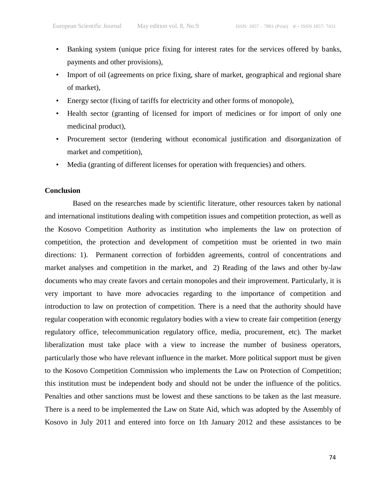- Banking system (unique price fixing for interest rates for the services offered by banks, payments and other provisions),
- Import of oil (agreements on price fixing, share of market, geographical and regional share of market),
- Energy sector (fixing of tariffs for electricity and other forms of monopole),
- Health sector (granting of licensed for import of medicines or for import of only one medicinal product),
- Procurement sector (tendering without economical justification and disorganization of market and competition),
- Media (granting of different licenses for operation with frequencies) and others.

# **Conclusion**

Based on the researches made by scientific literature, other resources taken by national and international institutions dealing with competition issues and competition protection, as well as the Kosovo Competition Authority as institution who implements the law on protection of competition, the protection and development of competition must be oriented in two main directions: 1). Permanent correction of forbidden agreements, control of concentrations and market analyses and competition in the market, and 2) Reading of the laws and other by-law documents who may create favors and certain monopoles and their improvement. Particularly, it is very important to have more advocacies regarding to the importance of competition and introduction to law on protection of competition. There is a need that the authority should have regular cooperation with economic regulatory bodies with a view to create fair competition (energy regulatory office, telecommunication regulatory office, media, procurement, etc). The market liberalization must take place with a view to increase the number of business operators, particularly those who have relevant influence in the market. More political support must be given to the Kosovo Competition Commission who implements the Law on Protection of Competition; this institution must be independent body and should not be under the influence of the politics. Penalties and other sanctions must be lowest and these sanctions to be taken as the last measure. There is a need to be implemented the Law on State Aid, which was adopted by the Assembly of Kosovo in July 2011 and entered into force on 1th January 2012 and these assistances to be